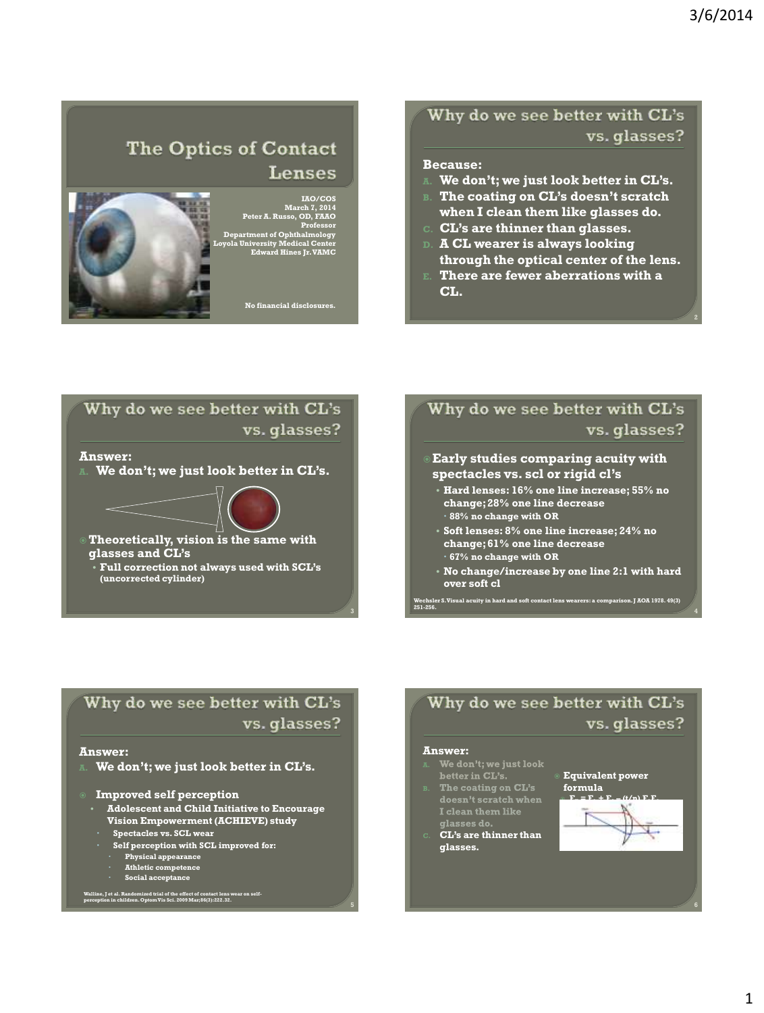## The Optics of Contact Lenses



## IAO/COS March 7, 2014 Peter A. Russo, OD, FAAO Professor Department of Ophthalmology Loyola University Medical Center Edward Hines Jr. VAMC

No financial disclosures.

### Why do we see better with CL's vs. glasses?

#### Because:

- We don't; we just look better in CL's.
- The coating on CL's doesn't scratch when I clean them like glasses do.
- CL's are thinner than glasses.
- D. A CL wearer is always looking through the optical center of the lens.
- E. There are fewer aberrations with a CL.



## Why do we see better with CL's vs. glasses?

#### Early studies comparing acuity with spectacles vs. scl or rigid cl"s

- Hard lenses: 16% one line increase; 55% no change; 28% one line decrease 88% no change with OR
- Soft lenses: 8% one line increase; 24% no change; 61% one line decrease 67% no change with OR
- No change/increase by one line 2:1 with hard over soft cl

Wechsler S. Visual acuity in hard and soft contact lens wearers: a comparison. J AOA 1978. 49(3) 251-256. <sup>4</sup>

### Why do we see better with CL's vs. glasses?

#### Answer:

We don't; we just look better in CL's.

Improved self perception

- Adolescent and Child Initiative to Encourage Vision Empowerment (ACHIEVE) study
	- Spectacles vs. SCL wear
	- Self perception with SCL improved for: Physical appearance Athletic competence Social acceptance
		-
		-
		-

Walline, J et al. Randomized trial of the effect of contact lens wear on self-perception in children. OptomVis Sci. 2009 Mar;86(3):222.32.

### Why do we see better with CL's vs. glasses?

5

- **Answer:**<br>**A.** We don't; we just look<br>better in CL's.<br>**B.** The coating on CL's
- 
- I clean them like<br>glasses do.<br>CL's are thinner than
- glasses.

Equivalent power

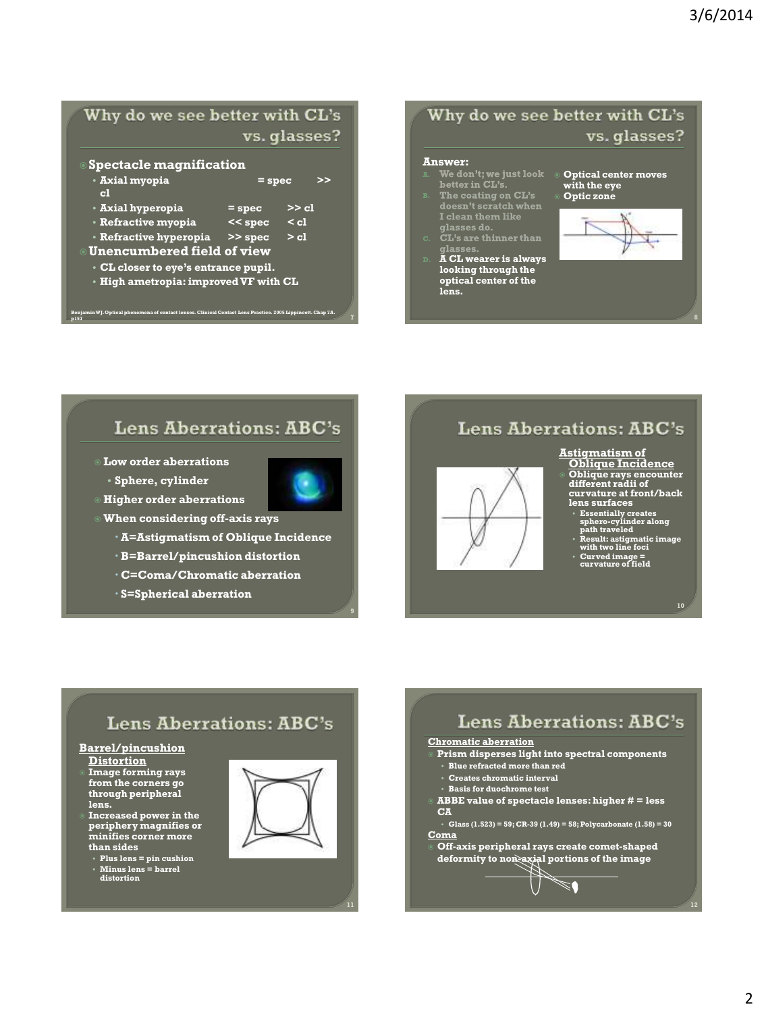## Why do we see better with CL's vs. glasses?

| >> |
|----|
|    |
|    |
|    |
|    |
|    |
|    |
|    |
|    |

Benjamin WJ. Optical phenomena of contact lenses. Clinical Contact Lens Practice. 2005 Lippincott. Chap 7A.  $p157$   $p157$   $p21$   $p32$   $p43$   $p54$   $p64$   $p72$   $p84$   $p95$   $p157$   $p17$   $p28$   $p39$   $p193$   $p193$   $p193$   $p193$   $p193$   $p193$   $p193$   $p193$   $p193$   $p193$   $p193$   $p193$   $p193$   $p193$   $p193$   $p193$   $p193$   $p193$   $p193$ 

### Why do we see better with CL's vs. glasses?

## **Answer:**<br>ā. We do

- 
- **The Contract of**<br> **I** clean them like<br> **glasses do.**
- 
- D. A CL wearer is always looking through the optical center of the lens.

 Optical center moves with the eye Optic zone



### **Lens Aberrations: ABC's**

- Low order aberrations • Sphere, cylinder
- Higher order aberrations
- When considering off-axis rays
	- A=Astigmatism of Oblique Incidence
	- B=Barrel/pincushion distortion
	- C=Coma/Chromatic aberration
	- S=Spherical aberration

## **Lens Aberrations: ABC's**

#### Astigmatism of



## Oblique Incidence Oblique rays encounter different radii of

curvature at front/back lens surfaces

• Essentially creates sphero-cylinder along path traveled

• Result: astigmatic image with two line foci

- Curved image = curvature of field
- 

10

## **Lens Aberrations: ABC's**

Barrel/pincushion

- **Distortion** Image forming rays
- from the corners go through peripheral lens.
- Increased power in the periphery magnifies or minifies corner more than sides
	- Plus lens = pin cushion Minus lens = barrel distortion



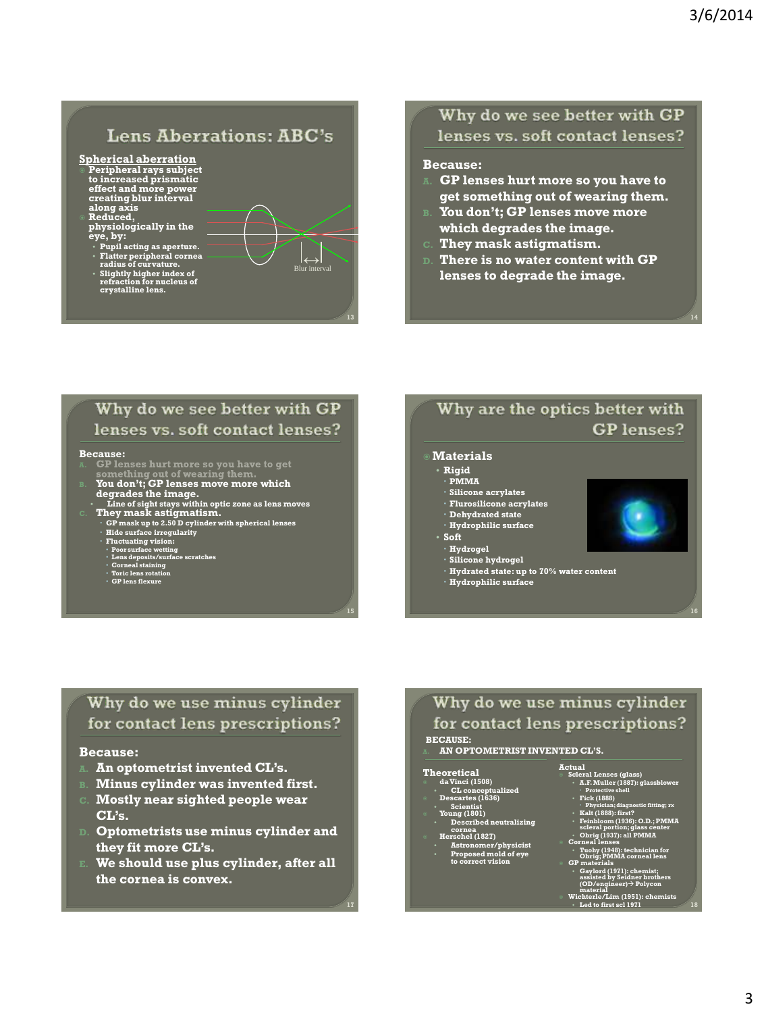14

# **Lens Aberrations: ABC's**

 $|\leftrightarrow|$ <br>Blur interval

#### Spherical aberration

- Peripheral rays subject to increased prismatic effect and more power creating blur interval along axis
- Reduced, physiologically in the eye, by: Pupil acting as aperture.
	-
	- Flatter peripheral cornea radius of curvature. Slightly higher index of refraction for nucleus of crystalline lens.

### Why do we see better with GP lenses vs. soft contact lenses?

#### Because:

- GP lenses hurt more so you have to get something out of wearing them.
- B. You don"t; GP lenses move more which degrades the image.
- C. They mask astigmatism.
- D. There is no water content with GP lenses to degrade the image.

#### Why do we see better with GP lenses vs. soft contact lenses?

## **Because:**<br>A. **GP** lei

- 
- something out of wearing them.<br>You don't; GP lenses move more which
- 
- degrades the image.<br>
This of sight stays within optic zone as lens moves<br>
Line of sight stays minimals.<br>
CP mask astigmatism.<br>
CP mask up to 2.50 D cylinder with spherical lenses<br>
Hide surface irregularity<br>
Fluctuating vis
	-
	-
	-
	-
	-
	-

### Why are the optics better with **GP** lenses?

#### **Materials**

- Rigid
- PMMA
- Silicone acrylates
- Flurosilicone acrylates
- Dehydrated state Hydrophilic surface
- 
- Soft
- 
- Hydrogel Silicone hydrogel
- Hydrated state: up to 70% water content
- Hydrophilic surface



### Why do we use minus cylinder for contact lens prescriptions?

#### Because:

- $A$ n optometrist invented  $CL$ 's.
- B. Minus cylinder was invented first.
- C. Mostly near sighted people wear CL"s.
- D. Optometrists use minus cylinder and they fit more CL"s.
- E. We should use plus cylinder, after all the cornea is convex.

### Why do we use minus cylinder for contact lens prescriptions?

Actual

#### BECAUSE: AN OPTOMETRIST INVENTED CL'S.

#### **Theoretical**

17

- daVinci (1508) CL conceptualized
- 
- 
- Descartes (1636) Scientist Young (1801) Described neutralizing cornea Herschel (1827) Astronomer/physicist Proposed mold of eye
	- Herschel (1827)<br>
	Astronomer/physicist<br>
	Proposed mold of eye<br>
	to correct vision

#### Scleral Lenses (glass) • A.F. Muller (1887): glassblower Protective shell • Fick (1888)

- 
- 
- Physician; diagnostic fitting; rx Kalt (1888): first? Feinbloom (1936): O.D.; PMMA scleral portion; glass center Obrig (1937): all PMMA Corneal lenses
	-
- Tuohy (1948): technician for Obrig; PMMA corneal lens GP materials
- Gaylord (1971): chemist; assisted by Seidner brothers (OD/engineer) Polycon material Wichterle/Lim (1951): chemists
	- Led to first scl  $1971$  18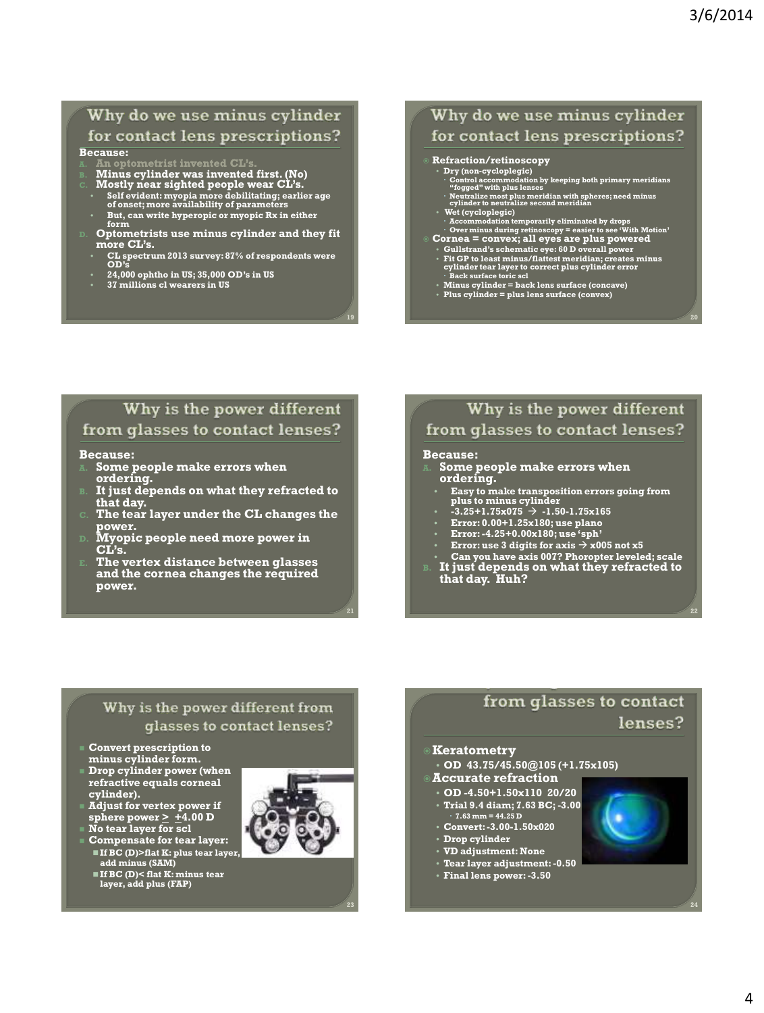### Why do we use minus cylinder for contact lens prescriptions?

#### Because:

- 
- B. Minus cylinder was invented first. (No) C. Mostly near sighted people wear CL"s.
- 
- Self evident: myopia more debilitating; earlier age of onset; more availability of parameters
- But, can write hyperopic or myopic Rx in either
- form D. Optometrists use minus cylinder and they fit more CL's.
- CL spectrum 2013 survey: 87% of respondents were OD"s
- 24,000 ophtho in US; 35,000 OD"s in US
- 37 millions cl wearers in US

### Why do we use minus cylinder for contact lens prescriptions?

#### Refraction/retinoscopy

- 
- Dry (non-cycloplegic)<br>• Control accommodation by keeping both primary meridians<br>• "fogged" with plus lenses<br>• Neutralize met plus meridian with spheres; need minus<br>• cylinder to neutralize second meridian
- 
- Wet (cycloplegic) Accommodation temporarily eliminated by drops Over minus during retinoscopy = easier to see "With Motion" Cornea = convex; all eyes are plus powered
- - **Gullstrand's schematic eye: 60 D overall power<br>Fit CP to least minus/flattest meridian; creates minus<br>cylinder tear layer to correct plus cylinder error<br>Back surface toric scl<br>Minus cylinder = back lens surface (concave)**
	-
- 

### Why is the power different from glasses to contact lenses?

#### Because:

- A. Some people make errors when ordering.
- It just depends on what they refracted to that day.
- The tear layer under the CL changes the power.
- ${\scriptstyle {\rm D.}}\;$  Myopic people need more power in CL's.
- The vertex distance between glasses and the cornea changes the required power.

### Why is the power different from glasses to contact lenses?

#### Because:

- A. Some people make errors when ordering.
	- Easy to make transposition errors going from plus to minus cylinder
	- $\cdot$  -3.25+1.75x075  $\rightarrow$  -1.50-1.75x165
	- Error: 0.00+1.25x180; use plano
	- **•** Error:  $-4.25+0.00 \times 180$ ; use 'sph'
	- Error: use 3 digits for axis  $\rightarrow$  x005 not x5
	-
- Can you have axis 007? Phoropter leveled; scale B. It just depends on what they refracted to that day. Huh?

#### Why is the power different from glasses to contact lenses?

- Convert prescription to minus cylinder form.
- Drop cylinder power (when refractive equals corneal cylinder).
- Adjust for vertex power if sphere power  $\geq \pm 4.00$  D No tear layer for scl
- 
- **Compensate for tear layer:**  If BC (D)>flat K: plus tear layer, add minus (SAM)
	- If BC (D)< flat K: minus tear layer, add plus (FAP)



23

### from glasses to contact lenses?

#### **Keratometry**

• OD 43.75/45.50@105 (+1.75x105)

#### Accurate refraction

- OD -4.50+1.50x110 20/20 • Trial 9.4 diam; 7.63 BC; -3.00
- $\cdot$  7.63 mm = 44.25 D • Convert: -3.00-1.50x020
- Drop cylinder
- VD adjustment: None
- Tear layer adjustment: -0.50
- Final lens power: -3.50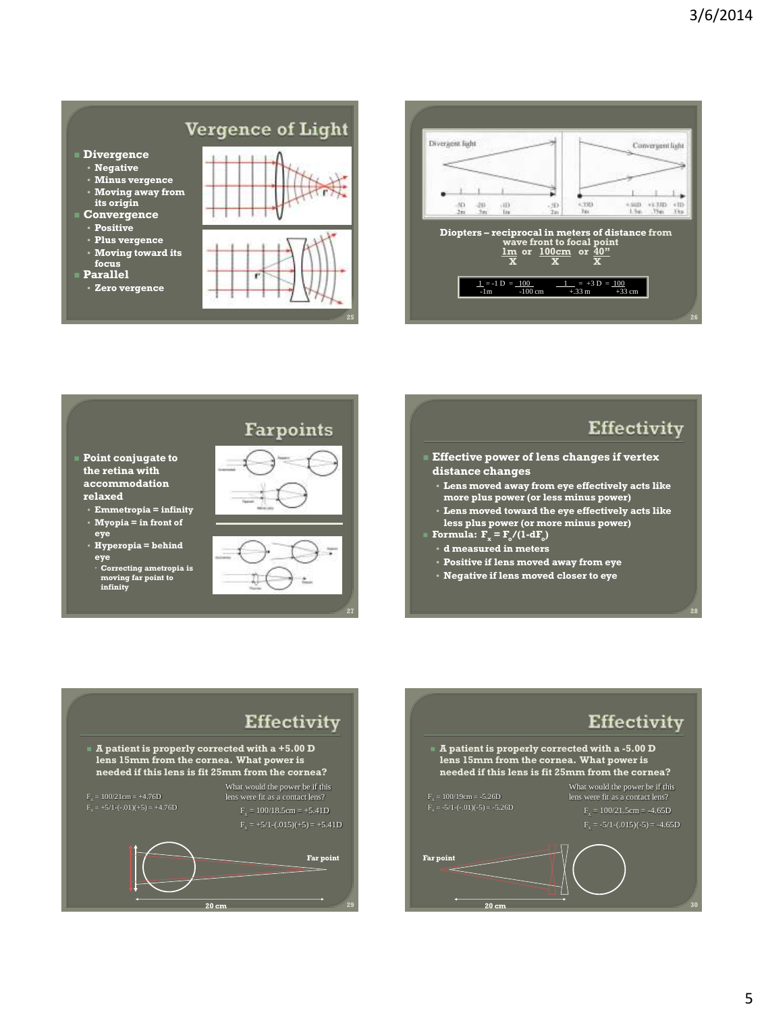# Vergence of Light

- Divergence • Negative
- Minus vergence
- Moving away from its origin Convergence
- Positive
- Plus vergence
- Moving toward its focus
- Parallel
- Zero vergence







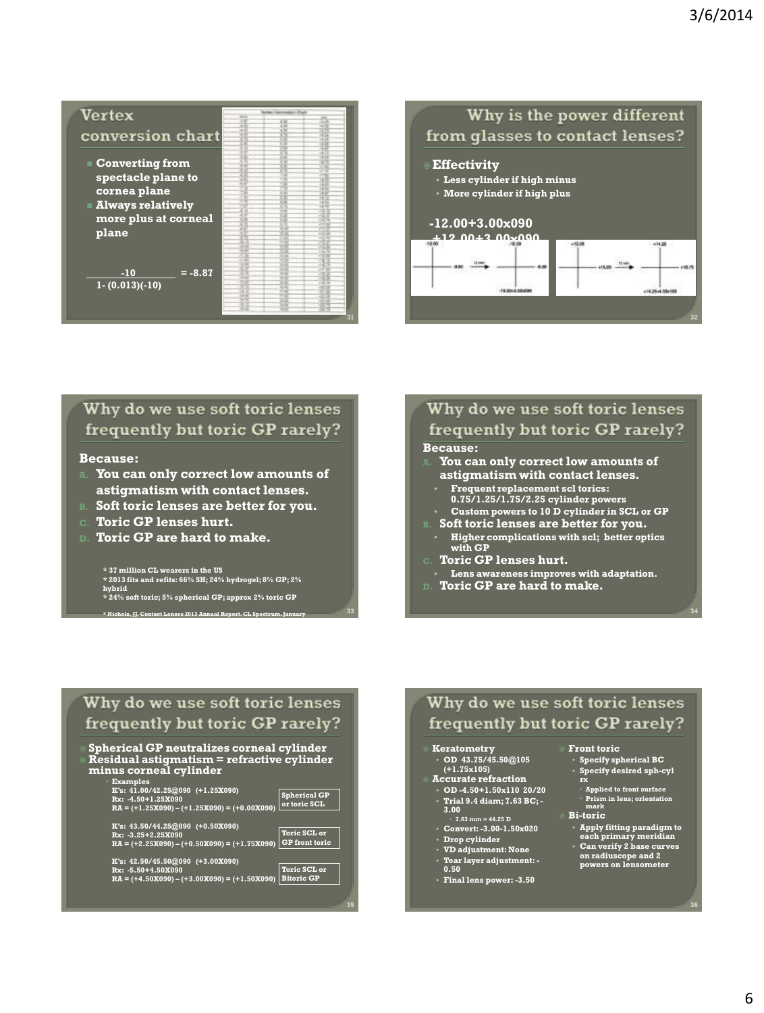

#### Why is the power different from glasses to contact lenses? **Effectivity** • Less cylinder if high minus • More cylinder if high plus -12.00+3.00x090 +12.00+3.00x090  $\overline{\phantom{a}}$  $+15.00$   $+10.01$ .<br>Han

### Why do we use soft toric lenses frequently but toric GP rarely?

#### Because:

- $\blacksquare$  You can only correct low amounts of astigmatism with contact lenses.
- B. Soft toric lenses are better for you.
- C. Toric GP lenses hurt.
- D. Toric GP are hard to make.

\* 37 million CL wearers in the US \* 2013 fits and refits: 66% SH; 24% hydrogel; 8% GP; 2% hybrid \* 24% soft toric; 5% spherical GP; approx 2% toric GP

\* Nichols, JJ. Contact Lenses 2013 Annual Report. CL Spectrum. January

## Why do we use soft toric lenses frequently but toric GP rarely?

#### Because:

- You can only correct low amounts of astigmatism with contact lenses.
- Frequent replacement scl torics: 0.75/1.25/1.75/2.25 cylinder powers
- Custom powers to 10 D cylinder in SCL or GP Soft toric lenses are better for you.
- Higher complications with scl; better optics with GP
- Toric GP lenses hurt.
- Lens awareness improves with adaptation.
- D. Toric GP are hard to make.

### Why do we use soft toric lenses frequently but toric GP rarely?

 Spherical GP neutralizes corneal cylinder Residual astigmatism = refractive cylinder minus corneal cylinder

 Examples K"s: 41.00/42.25@090 (+1.25X090) Rx: -4.50+1.25X090 RA = (+1.25X090) – (+1.25X090) = (+0.00X090) Spherical GP or toric SCL

K"s: 43.50/44.25@090 (+0.50X090) Rx: -3.25+2.25X090 RA = (+2.25X090) – (+0.50X090) = (+1.75X090) GP front toric Toric SCL or

K"s: 42.50/45.50@090 (+3.00X090) Rx: -5.50+4.50X090 RA = (+4.50X090) – (+3.00X090) = (+1.50X090) Toric SCL or Bitoric GP

## Why do we use soft toric lenses frequently but toric GP rarely?

## Keratometry • OD 43.75/45.50@105

(+1.75x105) Accurate refraction

• OD -4.50+1.50x110 20/20

- Trial 9.4 diam; 7.63 BC; 3.00
- 7.63 mm = 44.25 D Convert: -3.00-1.50x020
- Drop cylinder
- VD adjustment: None
- Tear layer adjustment: 0.50

35

• Final lens power: -3.50

#### Front toric

• Specify spherical BC • Specify desired sph-cyl

34

114.25-4.50 +100

- rx Applied to front surface Prism in lens; orientation mark
- Bi-toric
	-
- Apply fitting paradigm to each primary meridian Can verify 2 base curves on radiuscope and 2 powers on lensometer